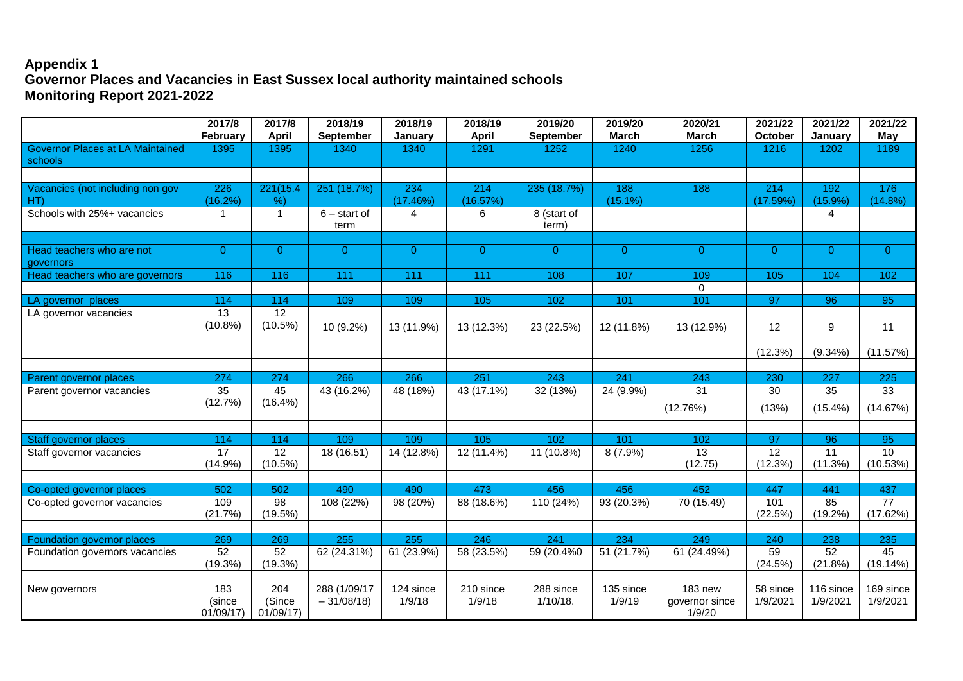## **Appendix 1 Governor Places and Vacancies in East Sussex local authority maintained schools Monitoring Report 2021-2022**

|                                                    | 2017/8<br>February        | 2017/8<br><b>April</b>        | 2018/19<br>September        | 2018/19<br>January  | 2018/19<br><b>April</b> | 2019/20<br><b>September</b> | 2019/20<br><b>March</b> | 2020/21<br><b>March</b>                    | 2021/22<br>October   | 2021/22<br>January    | 2021/22<br>May              |
|----------------------------------------------------|---------------------------|-------------------------------|-----------------------------|---------------------|-------------------------|-----------------------------|-------------------------|--------------------------------------------|----------------------|-----------------------|-----------------------------|
| <b>Governor Places at LA Maintained</b><br>schools | 1395                      | 1395                          | 1340                        | 1340                | 1291                    | 1252                        | 1240                    | 1256                                       | 1216                 | 1202                  | 1189                        |
| Vacancies (not including non gov<br>HT)            | 226<br>(16.2%)            | 221(15.4)<br>%                | 251 (18.7%)                 | 234<br>(17.46%)     | 214<br>(16.57%)         | 235 (18.7%)                 | 188<br>$(15.1\%)$       | 188                                        | 214<br>(17.59%)      | 192<br>$(15.9\%)$     | 176<br>$(14.8\%)$           |
| Schools with 25%+ vacancies                        | -1                        | $\overline{1}$                | $6 -$ start of<br>term      | 4                   | 6                       | 8 (start of<br>term)        |                         |                                            |                      | 4                     |                             |
| Head teachers who are not<br>governors             | $\overline{0}$            | $\Omega$                      | $\overline{0}$              | $\overline{0}$      | $\overline{0}$          | $\overline{0}$              | $\overline{0}$          | $\overline{0}$                             | $\Omega$             | $\overline{0}$        | $\overline{0}$              |
| Head teachers who are governors                    | 116                       | 116                           | 111                         | 111                 | 111                     | 108                         | 107                     | 109<br>0                                   | 105                  | 104                   | 102                         |
| LA governor places                                 | 114                       | 114                           | 109                         | 109                 | 105                     | 102                         | 101                     | 101                                        | 97                   | 96                    | 95                          |
| LA governor vacancies                              | 13<br>$(10.8\%)$          | $\overline{12}$<br>$(10.5\%)$ | 10 (9.2%)                   | 13 (11.9%)          | 13 (12.3%)              | 23 (22.5%)                  | 12 (11.8%)              | 13 (12.9%)                                 | 12                   | 9                     | 11                          |
|                                                    |                           |                               |                             |                     |                         |                             |                         |                                            | (12.3%)              | $(9.34\%)$            | (11.57%)                    |
| Parent governor places                             | 274                       | 274                           | 266                         | 266                 | 251                     | 243                         | 241                     | $\overline{243}$                           | 230                  | 227                   | 225                         |
| Parent governor vacancies                          | 35                        | 45                            | 43 (16.2%)                  | 48 (18%)            | 43 (17.1%)              | 32 (13%)                    | 24 (9.9%)               | 31                                         | 30                   | 35                    | 33                          |
|                                                    | (12.7%)                   | $(16.4\%)$                    |                             |                     |                         |                             |                         | (12.76%)                                   | (13%)                | $(15.4\%)$            | (14.67%)                    |
|                                                    |                           |                               |                             |                     |                         |                             |                         |                                            |                      |                       |                             |
| Staff governor places                              | 114<br>17                 | 114<br>12                     | 109                         | 109<br>14 (12.8%)   | 105                     | 102                         | 101                     | 102<br>13                                  | 97<br>12             | 96<br>11              | 95<br>10                    |
| Staff governor vacancies                           | (14.9%)                   | $(10.5\%)$                    | 18 (16.51)                  |                     | 12 (11.4%)              | 11 (10.8%)                  | $8(7.9\%)$              | (12.75)                                    | (12.3%)              | (11.3%)               | (10.53%)                    |
| Co-opted governor places                           | 502                       | 502                           | 490                         | 490                 | 473                     | 456                         | 456                     | 452                                        | 447                  | 441                   | 437                         |
| Co-opted governor vacancies                        | 109<br>(21.7%)            | $\overline{98}$<br>(19.5%)    | 108 (22%)                   | $98(20\%)$          | 88 (18.6%)              | 110 (24%)                   | 93 (20.3%)              | 70 (15.49)                                 | 101<br>(22.5%)       | 85<br>$(19.2\%)$      | $\overline{77}$<br>(17.62%) |
|                                                    |                           |                               |                             |                     |                         |                             |                         |                                            |                      |                       |                             |
| Foundation governor places                         | 269                       | 269                           | 255                         | 255                 | 246                     | 241                         | 234                     | 249                                        | 240                  | 238                   | 235                         |
| Foundation governors vacancies                     | 52<br>(19.3%)             | 52<br>$(19.3\%)$              | 62 (24.31%)                 | 61 (23.9%)          | 58 (23.5%)              | 59 (20.4%0)                 | 51 (21.7%)              | 61 (24.49%)                                | 59<br>(24.5%)        | 52<br>(21.8%)         | 45<br>(19.14%)              |
| New governors                                      | 183<br>(since<br>01/09/17 | 204<br>(Since<br>01/09/17     | 288 (1/09/17<br>$-31/08/18$ | 124 since<br>1/9/18 | 210 since<br>1/9/18     | 288 since<br>$1/10/18$ .    | 135 since<br>1/9/19     | <b>183 new</b><br>governor since<br>1/9/20 | 58 since<br>1/9/2021 | 116 since<br>1/9/2021 | 169 since<br>1/9/2021       |